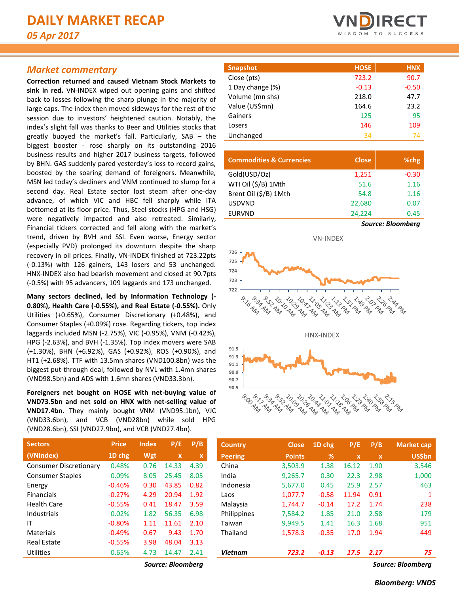# *Market commentary*

**Correction returned and caused Vietnam Stock Markets to sink in red.** VN-INDEX wiped out opening gains and shifted back to losses following the sharp plunge in the majority of large caps. The index then moved sideways for the rest of the session due to investors' heightened caution. Notably, the index's slight fall was thanks to Beer and Utilities stocks that greatly buoyed the market's fall. Particularly, SAB – the biggest booster - rose sharply on its outstanding 2016 business results and higher 2017 business targets, followed by BHN. GAS suddenly pared yesterday's loss to record gains, boosted by the soaring demand of foreigners. Meanwhile, MSN led today's decliners and VNM continued to slump for a second day. Real Estate sector lost steam after one-day advance, of which VIC and HBC fell sharply while ITA bottomed at its floor price. Thus, Steel stocks (HPG and HSG) were negatively impacted and also retreated. Similarly, Financial tickers corrected and fell along with the market's trend, driven by BVH and SSI. Even worse, Energy sector (especially PVD) prolonged its downturn despite the sharp recovery in oil prices. Finally, VN-INDEX finished at 723.22pts (-0.13%) with 126 gainers, 143 losers and 53 unchanged. HNX-INDEX also had bearish movement and closed at 90.7pts (-0.5%) with 95 advancers, 109 laggards and 173 unchanged.

**Many sectors declined, led by Information Technology (- 0.80%), Health Care (-0.55%), and Real Estate (-0.55%).** Only Utilities (+0.65%), Consumer Discretionary (+0.48%), and Consumer Staples (+0.09%) rose. Regarding tickers, top index laggards included MSN (-2.75%), VIC (-0.95%), VNM (-0.42%), HPG (-2.63%), and BVH (-1.35%). Top index movers were SAB (+1.30%), BHN (+6.92%), GAS (+0.92%), ROS (+0.90%), and HT1 (+2.68%). TTF with 13.5mn shares (VND100.8bn) was the biggest put-through deal, followed by NVL with 1.4mn shares (VND98.5bn) and ADS with 1.6mn shares (VND33.3bn).

**Foreigners net bought on HOSE with net-buying value of VND73.5bn and net sold on HNX with net-selling value of VND17.4bn.** They mainly bought VNM (VND95.1bn), VJC (VND33.6bn), and VCB (VND28bn) while sold HPG (VND28.6bn), SSI (VND27.9bn), and VCB (VND27.4bn).

| <b>Price</b> | <b>Index</b> | P/E         | P/B  |
|--------------|--------------|-------------|------|
| 1D chg       | Wgt          | $\mathbf x$ | x    |
| 0.48%        | 0.76         | 14.33       | 4.39 |
| 0.09%        | 8.05         | 25.45       | 8.05 |
| $-0.46%$     | 0.30         | 43.85       | 0.82 |
| $-0.27%$     | 4.29         | 20.94       | 1.92 |
| $-0.55%$     | 0.41         | 18.47       | 3.59 |
| 0.02%        | 1.82         | 56.35       | 6.98 |
| $-0.80%$     | 1.11         | 11.61       | 2.10 |
| $-0.49%$     | 0.67         | 9.43        | 1.70 |
| $-0.55%$     | 3.98         | 48.04       | 3.13 |
| 0.65%        | 4.73         | 14.47       | 2.41 |
|              |              |             |      |



| <b>Snapshot</b>  | <b>HOSE</b> | <b>HNX</b> |
|------------------|-------------|------------|
| Close (pts)      | 723.2       | 90.7       |
| 1 Day change (%) | $-0.13$     | $-0.50$    |
| Volume (mn shs)  | 218.0       | 47.7       |
| Value (US\$mn)   | 164.6       | 23.2       |
| Gainers          | 125         | 95         |
| Losers           | 146         | 109        |
| Unchanged        | 34          | 74         |

| <b>Commodities &amp; Currencies</b> | <b>Close</b>      | %chg    |  |  |  |  |
|-------------------------------------|-------------------|---------|--|--|--|--|
| Gold(USD/Oz)                        | 1,251             | $-0.30$ |  |  |  |  |
| WTI Oil (\$/B) 1Mth                 | 51.6              | 1.16    |  |  |  |  |
| Brent Oil (\$/B) 1Mth               | 54.8              | 1.16    |  |  |  |  |
| <b>USDVND</b>                       | 22,680            | 0.07    |  |  |  |  |
| <b>EURVND</b>                       | 24,224            | 0.45    |  |  |  |  |
|                                     | Source: Bloomberg |         |  |  |  |  |



| <b>Price</b> | <b>Index</b> | P/E          | P/B  | <b>Country</b> | <b>Close</b>  | 1D chg  | P/E         | P/B          | <b>Market cap</b> |
|--------------|--------------|--------------|------|----------------|---------------|---------|-------------|--------------|-------------------|
| 1D chg       | Wgt          | $\mathbf{x}$ | X    | <b>Peering</b> | <b>Points</b> | %       | $\mathbf x$ | $\mathbf{x}$ | <b>US\$bn</b>     |
| 0.48%        | 0.76         | 14.33        | 4.39 | China          | 3,503.9       | 1.38    | 16.12       | 1.90         | 3,546             |
| 0.09%        | 8.05         | 25.45        | 8.05 | India          | 9.265.7       | 0.30    | 22.3        | 2.98         | 1,000             |
| $-0.46%$     | 0.30         | 43.85        | 0.82 | Indonesia      | 5,677.0       | 0.45    | 25.9        | 2.57         | 463               |
| $-0.27%$     | 4.29         | 20.94        | 1.92 | Laos           | 1,077.7       | $-0.58$ | 11.94       | 0.91         |                   |
| $-0.55%$     | 0.41         | 18.47        | 3.59 | Malaysia       | 1,744.7       | $-0.14$ | 17.2        | 1.74         | 238               |
| 0.02%        | 1.82         | 56.35        | 6.98 | Philippines    | 7,584.2       | 1.85    | 21.0        | 2.58         | 179               |
| $-0.80%$     | 1.11         | 11.61        | 2.10 | Taiwan         | 9.949.5       | 1.41    | 16.3        | 1.68         | 951               |
| $-0.49%$     | 0.67         | 9.43         | 1.70 | Thailand       | 1,578.3       | $-0.35$ | 17.0        | 1.94         | 449               |
| $-0.55%$     | 3.98         | 48.04        | 3.13 |                |               |         |             |              |                   |
| 0.65%        | 4.73         | 14.47        | 2.41 | <b>Vietnam</b> | 723.2         | $-0.13$ | 17.5        | 2.17         | 75                |
|              |              |              |      |                |               |         |             |              |                   |

*Source: Bloomberg Source: Bloomberg*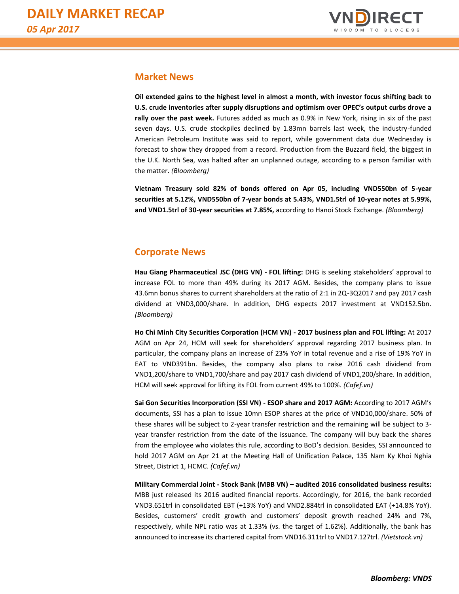

# **Market News**

**Oil extended gains to the highest level in almost a month, with investor focus shifting back to U.S. crude inventories after supply disruptions and optimism over OPEC's output curbs drove a rally over the past week.** Futures added as much as 0.9% in New York, rising in six of the past seven days. U.S. crude stockpiles declined by 1.83mn barrels last week, the industry-funded American Petroleum Institute was said to report, while government data due Wednesday is forecast to show they dropped from a record. Production from the Buzzard field, the biggest in the U.K. North Sea, was halted after an unplanned outage, according to a person familiar with the matter. *(Bloomberg)*

**Vietnam Treasury sold 82% of bonds offered on Apr 05, including VND550bn of 5-year securities at 5.12%, VND550bn of 7-year bonds at 5.43%, VND1.5trl of 10-year notes at 5.99%, and VND1.5trl of 30-year securities at 7.85%,** according to Hanoi Stock Exchange. *(Bloomberg)*

# **Corporate News**

**Hau Giang Pharmaceutical JSC (DHG VN) - FOL lifting:** DHG is seeking stakeholders' approval to increase FOL to more than 49% during its 2017 AGM. Besides, the company plans to issue 43.6mn bonus shares to current shareholders at the ratio of 2:1 in 2Q-3Q2017 and pay 2017 cash dividend at VND3,000/share. In addition, DHG expects 2017 investment at VND152.5bn. *(Bloomberg)*

**Ho Chi Minh City Securities Corporation (HCM VN) - 2017 business plan and FOL lifting:** At 2017 AGM on Apr 24, HCM will seek for shareholders' approval regarding 2017 business plan. In particular, the company plans an increase of 23% YoY in total revenue and a rise of 19% YoY in EAT to VND391bn. Besides, the company also plans to raise 2016 cash dividend from VND1,200/share to VND1,700/share and pay 2017 cash dividend of VND1,200/share. In addition, HCM will seek approval for lifting its FOL from current 49% to 100%. *(Cafef.vn)*

**Sai Gon Securities Incorporation (SSI VN) - ESOP share and 2017 AGM:** According to 2017 AGM's documents, SSI has a plan to issue 10mn ESOP shares at the price of VND10,000/share. 50% of these shares will be subject to 2-year transfer restriction and the remaining will be subject to 3 year transfer restriction from the date of the issuance. The company will buy back the shares from the employee who violates this rule, according to BoD's decision. Besides, SSI announced to hold 2017 AGM on Apr 21 at the Meeting Hall of Unification Palace, 135 Nam Ky Khoi Nghia Street, District 1, HCMC. *(Cafef.vn)*

**Military Commercial Joint - Stock Bank (MBB VN) – audited 2016 consolidated business results:**  MBB just released its 2016 audited financial reports. Accordingly, for 2016, the bank recorded VND3.651trl in consolidated EBT (+13% YoY) and VND2.884trl in consolidated EAT (+14.8% YoY). Besides, customers' credit growth and customers' deposit growth reached 24% and 7%, respectively, while NPL ratio was at 1.33% (vs. the target of 1.62%). Additionally, the bank has announced to increase its chartered capital from VND16.311trl to VND17.127trl. *(Vietstock.vn)*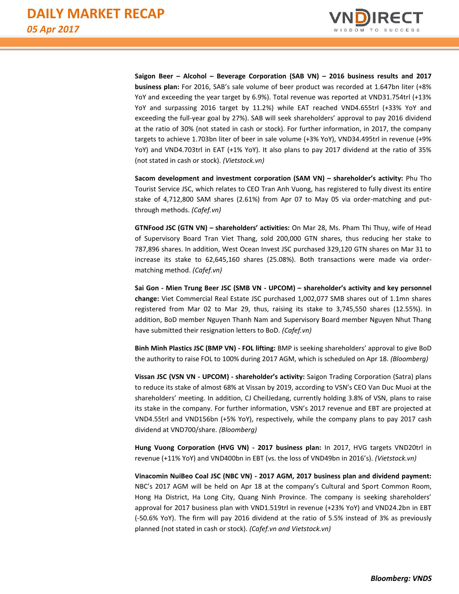

**Saigon Beer – Alcohol – Beverage Corporation (SAB VN) – 2016 business results and 2017 business plan:** For 2016, SAB's sale volume of beer product was recorded at 1.647bn liter (+8% YoY and exceeding the year target by 6.9%). Total revenue was reported at VND31.754trl (+13% YoY and surpassing 2016 target by 11.2%) while EAT reached VND4.655trl (+33% YoY and exceeding the full-year goal by 27%). SAB will seek shareholders' approval to pay 2016 dividend at the ratio of 30% (not stated in cash or stock). For further information, in 2017, the company targets to achieve 1.703bn liter of beer in sale volume (+3% YoY), VND34.495trl in revenue (+9% YoY) and VND4.703trl in EAT (+1% YoY). It also plans to pay 2017 dividend at the ratio of 35% (not stated in cash or stock). *(Vietstock.vn)*

**Sacom development and investment corporation (SAM VN) – shareholder's activity:** Phu Tho Tourist Service JSC, which relates to CEO Tran Anh Vuong, has registered to fully divest its entire stake of 4,712,800 SAM shares (2.61%) from Apr 07 to May 05 via order-matching and putthrough methods. *(Cafef.vn)*

**GTNFood JSC (GTN VN) – shareholders' activities:** On Mar 28, Ms. Pham Thi Thuy, wife of Head of Supervisory Board Tran Viet Thang, sold 200,000 GTN shares, thus reducing her stake to 787,896 shares. In addition, West Ocean Invest JSC purchased 329,120 GTN shares on Mar 31 to increase its stake to 62,645,160 shares (25.08%). Both transactions were made via ordermatching method. *(Cafef.vn)*

**Sai Gon - Mien Trung Beer JSC (SMB VN - UPCOM) – shareholder's activity and key personnel change:** Viet Commercial Real Estate JSC purchased 1,002,077 SMB shares out of 1.1mn shares registered from Mar 02 to Mar 29, thus, raising its stake to 3,745,550 shares (12.55%). In addition, BoD member Nguyen Thanh Nam and Supervisory Board member Nguyen Nhut Thang have submitted their resignation letters to BoD. *(Cafef.vn)*

**Binh Minh Plastics JSC (BMP VN) - FOL lifting:** BMP is seeking shareholders' approval to give BoD the authority to raise FOL to 100% during 2017 AGM, which is scheduled on Apr 18. *(Bloomberg)*

**Vissan JSC (VSN VN - UPCOM) - shareholder's activity:** Saigon Trading Corporation (Satra) plans to reduce its stake of almost 68% at Vissan by 2019, according to VSN's CEO Van Duc Muoi at the shareholders' meeting. In addition, CJ CheilJedang, currently holding 3.8% of VSN, plans to raise its stake in the company. For further information, VSN's 2017 revenue and EBT are projected at VND4.55trl and VND156bn (+5% YoY), respectively, while the company plans to pay 2017 cash dividend at VND700/share. *(Bloomberg)*

**Hung Vuong Corporation (HVG VN) - 2017 business plan:** In 2017, HVG targets VND20trl in revenue (+11% YoY) and VND400bn in EBT (vs. the loss of VND49bn in 2016's). *(Vietstock.vn)*

**Vinacomin NuiBeo Coal JSC (NBC VN) - 2017 AGM, 2017 business plan and dividend payment:**  NBC's 2017 AGM will be held on Apr 18 at the company's Cultural and Sport Common Room, Hong Ha District, Ha Long City, Quang Ninh Province. The company is seeking shareholders' approval for 2017 business plan with VND1.519trl in revenue (+23% YoY) and VND24.2bn in EBT (-50.6% YoY). The firm will pay 2016 dividend at the ratio of 5.5% instead of 3% as previously planned (not stated in cash or stock). *(Cafef.vn and Vietstock.vn)*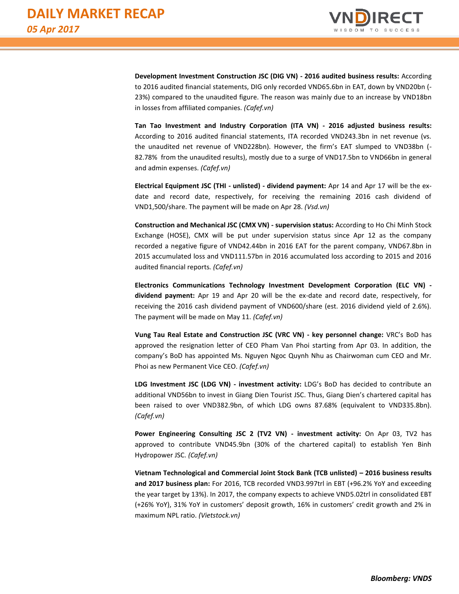

**Development Investment Construction JSC (DIG VN) - 2016 audited business results:** According to 2016 audited financial statements, DIG only recorded VND65.6bn in EAT, down by VND20bn (- 23%) compared to the unaudited figure. The reason was mainly due to an increase by VND18bn in losses from affiliated companies. *(Cafef.vn)*

**Tan Tao Investment and Industry Corporation (ITA VN) - 2016 adjusted business results:**  According to 2016 audited financial statements, ITA recorded VND243.3bn in net revenue (vs. the unaudited net revenue of VND228bn). However, the firm's EAT slumped to VND38bn (- 82.78% from the unaudited results), mostly due to a surge of VND17.5bn to VND66bn in general and admin expenses. *(Cafef.vn)*

**Electrical Equipment JSC (THI - unlisted) - dividend payment:** Apr 14 and Apr 17 will be the exdate and record date, respectively, for receiving the remaining 2016 cash dividend of VND1,500/share. The payment will be made on Apr 28. *(Vsd.vn)*

**Construction and Mechanical JSC (CMX VN) - supervision status:** According to Ho Chi Minh Stock Exchange (HOSE), CMX will be put under supervision status since Apr 12 as the company recorded a negative figure of VND42.44bn in 2016 EAT for the parent company, VND67.8bn in 2015 accumulated loss and VND111.57bn in 2016 accumulated loss according to 2015 and 2016 audited financial reports*. (Cafef.vn)*

**Electronics Communications Technology Investment Development Corporation (ELC VN) dividend payment:** Apr 19 and Apr 20 will be the ex-date and record date, respectively, for receiving the 2016 cash dividend payment of VND600/share (est. 2016 dividend yield of 2.6%). The payment will be made on May 11. *(Cafef.vn)*

**Vung Tau Real Estate and Construction JSC (VRC VN) - key personnel change:** VRC's BoD has approved the resignation letter of CEO Pham Van Phoi starting from Apr 03. In addition, the company's BoD has appointed Ms. Nguyen Ngoc Quynh Nhu as Chairwoman cum CEO and Mr. Phoi as new Permanent Vice CEO. *(Cafef.vn)*

**LDG Investment JSC (LDG VN) - investment activity:** LDG's BoD has decided to contribute an additional VND56bn to invest in Giang Dien Tourist JSC. Thus, Giang Dien's chartered capital has been raised to over VND382.9bn, of which LDG owns 87.68% (equivalent to VND335.8bn). *(Cafef.vn)*

**Power Engineering Consulting JSC 2 (TV2 VN) - investment activity:** On Apr 03, TV2 has approved to contribute VND45.9bn (30% of the chartered capital) to establish Yen Binh Hydropower JSC. *(Cafef.vn)*

**Vietnam Technological and Commercial Joint Stock Bank (TCB unlisted) – 2016 business results and 2017 business plan:** For 2016, TCB recorded VND3.997trl in EBT (+96.2% YoY and exceeding the year target by 13%). In 2017, the company expects to achieve VND5.02trl in consolidated EBT (+26% YoY), 31% YoY in customers' deposit growth, 16% in customers' credit growth and 2% in maximum NPL ratio. *(Vietstock.vn)*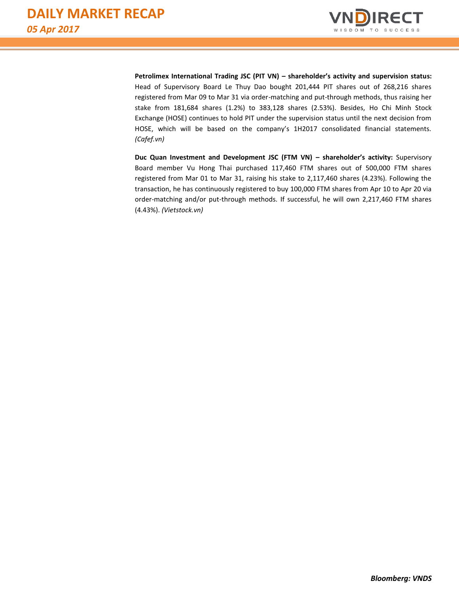

**Petrolimex International Trading JSC (PIT VN) – shareholder's activity and supervision status:** Head of Supervisory Board Le Thuy Dao bought 201,444 PIT shares out of 268,216 shares registered from Mar 09 to Mar 31 via order-matching and put-through methods, thus raising her stake from 181,684 shares (1.2%) to 383,128 shares (2.53%). Besides, Ho Chi Minh Stock Exchange (HOSE) continues to hold PIT under the supervision status until the next decision from HOSE, which will be based on the company's 1H2017 consolidated financial statements. *(Cafef.vn)*

**Duc Quan Investment and Development JSC (FTM VN) – shareholder's activity:** Supervisory Board member Vu Hong Thai purchased 117,460 FTM shares out of 500,000 FTM shares registered from Mar 01 to Mar 31, raising his stake to 2,117,460 shares (4.23%). Following the transaction, he has continuously registered to buy 100,000 FTM shares from Apr 10 to Apr 20 via order-matching and/or put-through methods. If successful, he will own 2,217,460 FTM shares (4.43%). *(Vietstock.vn)*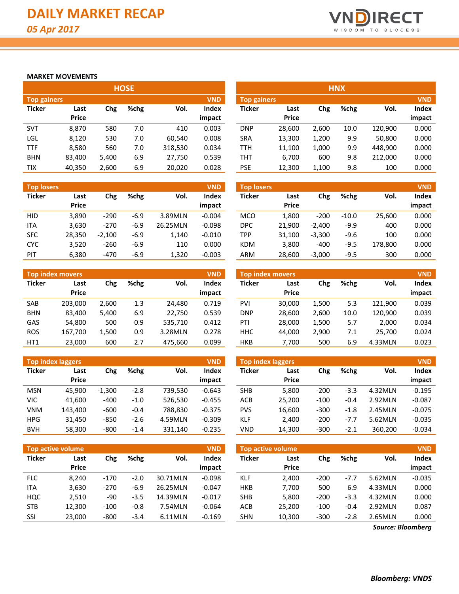

## **MARKET MOVEMENTS**

|                    |              |       | <b>HOSE</b> |         |            | <b>HNX</b>         |              |       |      |         |            |
|--------------------|--------------|-------|-------------|---------|------------|--------------------|--------------|-------|------|---------|------------|
| <b>Top gainers</b> |              |       |             |         | <b>VND</b> | <b>Top gainers</b> |              |       |      |         | <b>VND</b> |
| <b>Ticker</b>      | Last         | Chg   | %chg        | Vol.    | Index      | Ticker             | Last         | Chg   | %chg | Vol.    | Index      |
|                    | <b>Price</b> |       |             |         | impact     |                    | <b>Price</b> |       |      |         | impact     |
| <b>SVT</b>         | 8.870        | 580   | 7.0         | 410     | 0.003      | <b>DNP</b>         | 28,600       | 2.600 | 10.0 | 120,900 | 0.000      |
| LGL                | 8,120        | 530   | 7.0         | 60,540  | 0.008      | <b>SRA</b>         | 13,300       | 1,200 | 9.9  | 50,800  | 0.000      |
| <b>TTF</b>         | 8,580        | 560   | 7.0         | 318,530 | 0.034      | TTH                | 11,100       | 1,000 | 9.9  | 448,900 | 0.000      |
| <b>BHN</b>         | 83,400       | 5,400 | 6.9         | 27,750  | 0.539      | тнт                | 6,700        | 600   | 9.8  | 212,000 | 0.000      |
| <b>TIX</b>         | 40,350       | 2,600 | 6.9         | 20.020  | 0.028      | <b>PSE</b>         | 12,300       | 1,100 | 9.8  | 100     | 0.000      |

| <b>Top losers</b> |                      |          |        |          | <b>VND</b>             | <b>Top losers</b> |                      |          |         |         | <b>VND</b>      |
|-------------------|----------------------|----------|--------|----------|------------------------|-------------------|----------------------|----------|---------|---------|-----------------|
| <b>Ticker</b>     | Last<br><b>Price</b> | Chg      | %chg   | Vol.     | <b>Index</b><br>impact | <b>Ticker</b>     | Last<br><b>Price</b> | Chg      | %chg    | Vol.    | Index<br>impact |
| <b>HID</b>        | 3,890                | $-290$   | $-6.9$ | 3.89MLN  | $-0.004$               | <b>MCO</b>        | 1,800                | $-200$   | $-10.0$ | 25,600  | 0.000           |
| <b>ITA</b>        | 3,630                | $-270$   | $-6.9$ | 26.25MLN | $-0.098$               | <b>DPC</b>        | 21.900               | $-2.400$ | $-9.9$  | 400     | 0.000           |
| <b>SFC</b>        | 28,350               | $-2.100$ | $-6.9$ | 1.140    | $-0.010$               | TPP               | 31.100               | $-3,300$ | -9.6    | 100     | 0.000           |
| <b>CYC</b>        | 3,520                | $-260$   | $-6.9$ | 110      | 0.000                  | <b>KDM</b>        | 3,800                | $-400$   | $-9.5$  | 178.800 | 0.000           |
| PIT               | 6,380                | $-470$   | $-6.9$ | 1.320    | $-0.003$               | <b>ARM</b>        | 28,600               | $-3,000$ | $-9.5$  | 300     | 0.000           |

|               | <b>Top index movers</b> |       |      |         | <b>VND</b>   |               | <b>Top index movers</b> |       |      |         | <b>VND</b> |
|---------------|-------------------------|-------|------|---------|--------------|---------------|-------------------------|-------|------|---------|------------|
| <b>Ticker</b> | Last                    | Chg   | %chg | Vol.    | <b>Index</b> | <b>Ticker</b> | Last                    | Chg   | %chg | Vol.    | Index      |
|               | <b>Price</b>            |       |      |         | impact       |               | <b>Price</b>            |       |      |         | impact     |
| SAB           | 203.000                 | 2.600 | 1.3  | 24.480  | 0.719        | PVI           | 30.000                  | 1,500 | 5.3  | 121,900 | 0.039      |
| <b>BHN</b>    | 83.400                  | 5,400 | 6.9  | 22.750  | 0.539        | <b>DNP</b>    | 28.600                  | 2.600 | 10.0 | 120,900 | 0.039      |
| GAS           | 54,800                  | 500   | 0.9  | 535.710 | 0.412        | PTI           | 28.000                  | 1.500 | 5.7  | 2.000   | 0.034      |
| <b>ROS</b>    | 167.700                 | 1,500 | 0.9  | 3.28MLN | 0.278        | <b>HHC</b>    | 44.000                  | 2.900 | 7.1  | 25.700  | 0.024      |
| HT1           | 23,000                  | 600   | 2.7  | 475,660 | 0.099        | <b>HKB</b>    | 7,700                   | 500   | 6.9  | 4.33MLN | 0.023      |

|               | Top index laggers |          |        |         | <b>VND</b> | <b>Top index laggers</b> |              |        |        |         | <b>VND</b> |
|---------------|-------------------|----------|--------|---------|------------|--------------------------|--------------|--------|--------|---------|------------|
| <b>Ticker</b> | Last              | Chg      | %chg   | Vol.    | Index      | <b>Ticker</b>            | Last         | Chg    | %chg   | Vol.    | Index      |
|               | <b>Price</b>      |          |        |         | impact     |                          | <b>Price</b> |        |        |         | impact     |
| <b>MSN</b>    | 45.900            | $-1.300$ | $-2.8$ | 739.530 | $-0.643$   | <b>SHB</b>               | 5,800        | $-200$ | $-3.3$ | 4.32MLN | $-0.195$   |
| VIC           | 41,600            | $-400$   | $-1.0$ | 526.530 | $-0.455$   | ACB                      | 25,200       | $-100$ | $-0.4$ | 2.92MLN | $-0.087$   |
| <b>VNM</b>    | 143.400           | $-600$   | $-0.4$ | 788.830 | $-0.375$   | <b>PVS</b>               | 16.600       | $-300$ | $-1.8$ | 2.45MLN | $-0.075$   |
| <b>HPG</b>    | 31,450            | $-850$   | $-2.6$ | 4.59MLN | $-0.309$   | <b>KLF</b>               | 2,400        | $-200$ | $-7.7$ | 5.62MLN | $-0.035$   |
| <b>BVH</b>    | 58,300            | $-800$   | $-1.4$ | 331,140 | $-0.235$   | <b>VND</b>               | 14,300       | $-300$ | $-2.1$ | 360,200 | $-0.034$   |

| Top active volume |              |        |        |          | <b>VND</b> |               | <b>Top active volume</b> |        |        |         | <b>VND</b> |
|-------------------|--------------|--------|--------|----------|------------|---------------|--------------------------|--------|--------|---------|------------|
| <b>Ticker</b>     | Last         | Chg    | %chg   | Vol.     | Index      | <b>Ticker</b> | Last                     | Chg    | %chg   | Vol.    | Index      |
|                   | <b>Price</b> |        |        |          | impact     |               | <b>Price</b>             |        |        |         | impact     |
| <b>FLC</b>        | 8.240        | $-170$ | $-2.0$ | 30.71MLN | $-0.098$   | <b>KLF</b>    | 2,400                    | $-200$ | $-7.7$ | 5.62MLN | $-0.035$   |
| <b>ITA</b>        | 3,630        | $-270$ | $-6.9$ | 26.25MLN | $-0.047$   | <b>HKB</b>    | 7,700                    | 500    | 6.9    | 4.33MLN | 0.000      |
| HQC               | 2.510        | -90    | $-3.5$ | 14.39MLN | $-0.017$   | <b>SHB</b>    | 5.800                    | $-200$ | $-3.3$ | 4.32MLN | 0.000      |
| <b>STB</b>        | 12.300       | $-100$ | $-0.8$ | 7.54MLN  | $-0.064$   | ACB           | 25,200                   | $-100$ | $-0.4$ | 2.92MLN | 0.087      |
| SSI               | 23,000       | $-800$ | $-3.4$ | 6.11MLN  | $-0.169$   | <b>SHN</b>    | 10,300                   | $-300$ | $-2.8$ | 2.65MLN | 0.000      |

| <b>HNX</b>                       |        |       |      |         |        |  |  |  |  |  |  |
|----------------------------------|--------|-------|------|---------|--------|--|--|--|--|--|--|
| <b>VND</b><br><b>Top gainers</b> |        |       |      |         |        |  |  |  |  |  |  |
| <b>Ticker</b>                    | Last   | Chg   | %chg | Vol.    | Index  |  |  |  |  |  |  |
|                                  | Price  |       |      |         | impact |  |  |  |  |  |  |
| <b>DNP</b>                       | 28,600 | 2,600 | 10.0 | 120,900 | 0.000  |  |  |  |  |  |  |
| <b>SRA</b>                       | 13,300 | 1,200 | 9.9  | 50,800  | 0.000  |  |  |  |  |  |  |
| TTH                              | 11,100 | 1,000 | 9.9  | 448,900 | 0.000  |  |  |  |  |  |  |
| тнт                              | 6,700  | 600   | 9.8  | 212,000 | 0.000  |  |  |  |  |  |  |
| <b>PSE</b>                       | 12,300 | 1,100 | 9.8  | 100     | 0.000  |  |  |  |  |  |  |

| <b>Top losers</b> |                      |          |        |          | <b>VND</b>             | <b>Top losers</b> |                      |          |         |         | <b>VND</b>      |
|-------------------|----------------------|----------|--------|----------|------------------------|-------------------|----------------------|----------|---------|---------|-----------------|
| Ticker            | Last<br><b>Price</b> | Chg      | %chg   | Vol.     | <b>Index</b><br>impact | <b>Ticker</b>     | Last<br><b>Price</b> | Chg      | %chg    | Vol.    | Index<br>impact |
| <b>HID</b>        | 3,890                | $-290$   | $-6.9$ | 3.89MLN  | $-0.004$               | <b>MCO</b>        | 1.800                | $-200$   | $-10.0$ | 25,600  | 0.000           |
| <b>ITA</b>        | 3,630                | $-270$   | -6.9   | 26.25MLN | $-0.098$               | <b>DPC</b>        | 21,900               | $-2,400$ | -9.9    | 400     | 0.000           |
| SFC               | 28,350               | $-2.100$ | -6.9   | 1,140    | $-0.010$               | TPP               | 31,100               | $-3,300$ | -9.6    | 100     | 0.000           |
| <b>CYC</b>        | 3,520                | $-260$   | $-6.9$ | 110      | 0.000                  | <b>KDM</b>        | 3.800                | $-400$   | $-9.5$  | 178,800 | 0.000           |
| PIT               | 6,380                | $-470$   | $-6.9$ | 1,320    | $-0.003$               | <b>ARM</b>        | 28,600               | $-3,000$ | $-9.5$  | 300     | 0.000           |

|               | <b>Top index movers</b> |       |      |         | <b>VND</b> |
|---------------|-------------------------|-------|------|---------|------------|
| <b>Ticker</b> | Last                    | Chg   | %chg | Vol.    | Index      |
|               | <b>Price</b>            |       |      |         | impact     |
| <b>PVI</b>    | 30,000                  | 1,500 | 5.3  | 121,900 | 0.039      |
| <b>DNP</b>    | 28,600                  | 2,600 | 10.0 | 120,900 | 0.039      |
| PTI           | 28,000                  | 1,500 | 5.7  | 2,000   | 0.034      |
| ннс           | 44.000                  | 2,900 | 7.1  | 25,700  | 0.024      |
| HKB           | 7,700                   | 500   | 6.9  | 4.33MLN | 0.023      |

| <b>Top index laggers</b> |              |        |        |         |          |  |  |  |  |  |  |  |  |
|--------------------------|--------------|--------|--------|---------|----------|--|--|--|--|--|--|--|--|
| <b>Ticker</b>            | Last         | Chg    | %chg   | Vol.    | Index    |  |  |  |  |  |  |  |  |
|                          | <b>Price</b> |        |        |         | impact   |  |  |  |  |  |  |  |  |
| <b>SHB</b>               | 5,800        | $-200$ | $-3.3$ | 4.32MLN | $-0.195$ |  |  |  |  |  |  |  |  |
| ACB                      | 25,200       | $-100$ | $-0.4$ | 2.92MLN | $-0.087$ |  |  |  |  |  |  |  |  |
| <b>PVS</b>               | 16,600       | $-300$ | $-1.8$ | 2.45MLN | $-0.075$ |  |  |  |  |  |  |  |  |
| KLF                      | 2,400        | $-200$ | $-7.7$ | 5.62MLN | $-0.035$ |  |  |  |  |  |  |  |  |
| VND                      | 14,300       | $-300$ | $-2.1$ | 360,200 | $-0.034$ |  |  |  |  |  |  |  |  |

| <b>Top active volume</b> |              |        |        |         |          |  |  |  |  |  |  |  |  |
|--------------------------|--------------|--------|--------|---------|----------|--|--|--|--|--|--|--|--|
| <b>Ticker</b>            | Last         | Chg    | %chg   | Vol.    | Index    |  |  |  |  |  |  |  |  |
|                          | <b>Price</b> |        |        |         | impact   |  |  |  |  |  |  |  |  |
| KLF                      | 2.400        | $-200$ | $-7.7$ | 5.62MLN | $-0.035$ |  |  |  |  |  |  |  |  |
| <b>HKB</b>               | 7,700        | 500    | 6.9    | 4.33MLN | 0.000    |  |  |  |  |  |  |  |  |
| <b>SHB</b>               | 5,800        | $-200$ | $-3.3$ | 4.32MLN | 0.000    |  |  |  |  |  |  |  |  |
| <b>ACB</b>               | 25,200       | $-100$ | $-0.4$ | 2.92MLN | 0.087    |  |  |  |  |  |  |  |  |
| <b>SHN</b>               | 10.300       | $-300$ | $-2.8$ | 2.65MLN | 0.000    |  |  |  |  |  |  |  |  |

*Source: Bloomberg*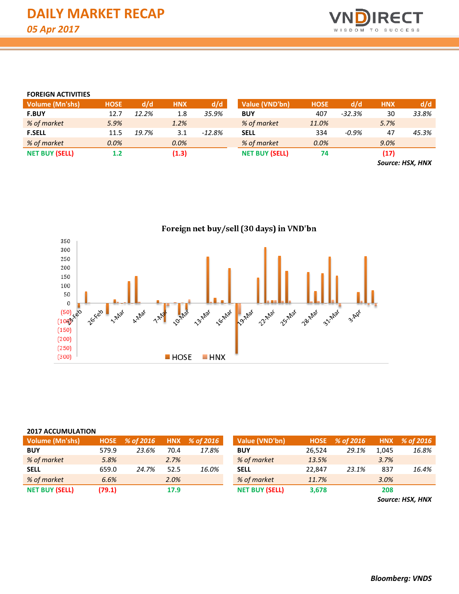

#### **FOREIGN ACTIVITIES**

| Volume (Mn'shs)       | <b>HOSE</b> | d/d   | <b>HNX</b> | d/d       | Value (VND'bn)        | <b>HOSE</b> | d/d      | <b>HNX</b> | d/d                                                                                 |
|-----------------------|-------------|-------|------------|-----------|-----------------------|-------------|----------|------------|-------------------------------------------------------------------------------------|
| <b>F.BUY</b>          | 12.7        | 12.2% | 1.8        | 35.9%     | <b>BUY</b>            | 407         | $-32.3%$ | 30         | 33.8%                                                                               |
| % of market           | 5.9%        |       | 1.2%       |           | % of market           | 11.0%       |          | 5.7%       |                                                                                     |
| <b>F.SELL</b>         | 11.5        | 19.7% | 3.1        | $-12.8\%$ | <b>SELL</b>           | 334         | -0.9%    | 47         | 45.3%                                                                               |
| % of market           | 0.0%        |       | 0.0%       |           | % of market           | 0.0%        |          | 9.0%       |                                                                                     |
| <b>NET BUY (SELL)</b> | 1.2         |       | (1.3)      |           | <b>NET BUY (SELL)</b> | 74          |          | (17)       |                                                                                     |
|                       |             |       |            |           |                       |             |          |            | $C_{\text{max}}$ , $\mathbf{H}$ $\mathbf{C}$ $\mathbf{V}$ $\mathbf{H}$ $\mathbf{H}$ |

*Source: HSX, HNX*



#### **2017 ACCUMULATION**

| Volume (Mn'shs)       |        | HOSE % of 2016 |      | HNX % of 2016 | Value (VND'bn)        | <b>HOSE</b> | % of 2016 | <b>HNX</b> | % of 2016 |
|-----------------------|--------|----------------|------|---------------|-----------------------|-------------|-----------|------------|-----------|
| <b>BUY</b>            | 579.9  | 23.6%          | 70.4 | 17.8%         | <b>BUY</b>            | 26.524      | 29.1%     | 1.045      | 16.8%     |
| % of market           | 5.8%   |                | 2.7% |               | % of market           | 13.5%       |           | 3.7%       |           |
| <b>SELL</b>           | 659.0  | 24.7%          | 52.5 | 16.0%         | <b>SELL</b>           | 22.847      | 23.1%     | 837        | 16.4%     |
| % of market           | 6.6%   |                | 2.0% |               | % of market           | 11.7%       |           | 3.0%       |           |
| <b>NET BUY (SELL)</b> | (79.1) |                | 17.9 |               | <b>NET BUY (SELL)</b> | 3,678       |           | 208        |           |

*Source: HSX, HNX*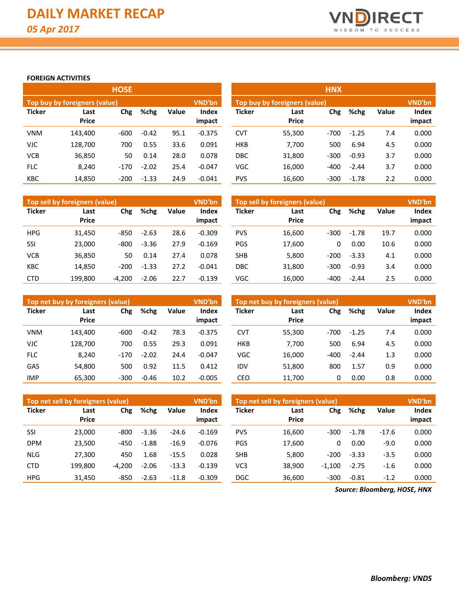

# **FOREIGN ACTIVITIES**

|               |                               | <b>HOSE</b> |         |       |                        | <b>HNX</b>    |                                                |        |         |       |                 |  |  |  |
|---------------|-------------------------------|-------------|---------|-------|------------------------|---------------|------------------------------------------------|--------|---------|-------|-----------------|--|--|--|
|               | Top buy by foreigners (value) |             |         |       | <b>VND'bn</b>          |               | <b>VND'bn</b><br>Top buy by foreigners (value) |        |         |       |                 |  |  |  |
| <b>Ticker</b> | Last<br><b>Price</b>          | Chg         | %chg    | Value | <b>Index</b><br>impact | <b>Ticker</b> | Last<br><b>Price</b>                           | Chg    | %chg    | Value | Index<br>impact |  |  |  |
| <b>VNM</b>    | 143,400                       | $-600$      | $-0.42$ | 95.1  | $-0.375$               | <b>CVT</b>    | 55,300                                         | $-700$ | $-1.25$ | 7.4   | 0.000           |  |  |  |
| <b>VJC</b>    | 128,700                       | 700         | 0.55    | 33.6  | 0.091                  | <b>HKB</b>    | 7,700                                          | 500    | 6.94    | 4.5   | 0.000           |  |  |  |
| <b>VCB</b>    | 36,850                        | 50          | 0.14    | 28.0  | 0.078                  | <b>DBC</b>    | 31,800                                         | $-300$ | $-0.93$ | 3.7   | 0.000           |  |  |  |
| <b>FLC</b>    | 8.240                         | $-170$      | $-2.02$ | 25.4  | $-0.047$               | <b>VGC</b>    | 16,000                                         | $-400$ | $-2.44$ | 3.7   | 0.000           |  |  |  |
| <b>KBC</b>    | 14,850                        | $-200$      | $-1.33$ | 24.9  | $-0.041$               | <b>PVS</b>    | 16,600                                         | $-300$ | $-1.78$ | 2.2   | 0.000           |  |  |  |

|               | Top sell by foreigners (value) |          |         |       | <b>VND'bn</b>          | Top sell by foreigners (value) |                             |        |         |              |                 |  |
|---------------|--------------------------------|----------|---------|-------|------------------------|--------------------------------|-----------------------------|--------|---------|--------------|-----------------|--|
| <b>Ticker</b> | Last<br><b>Price</b>           | Chg      | %chg    | Value | <b>Index</b><br>impact | <b>Ticker</b>                  | Chg<br>Last<br><b>Price</b> |        | %chg    | <b>Value</b> | Index<br>impact |  |
| <b>HPG</b>    | 31,450                         | $-850$   | $-2.63$ | 28.6  | $-0.309$               | <b>PVS</b>                     | 16,600                      | $-300$ | $-1.78$ | 19.7         | 0.000           |  |
| SSI           | 23,000                         | $-800$   | $-3.36$ | 27.9  | $-0.169$               | PGS                            | 17,600                      | 0      | 0.00    | 10.6         | 0.000           |  |
| <b>VCB</b>    | 36,850                         | 50       | 0.14    | 27.4  | 0.078                  | <b>SHB</b>                     | 5,800                       | $-200$ | $-3.33$ | 4.1          | 0.000           |  |
| <b>KBC</b>    | 14,850                         | $-200$   | $-1.33$ | 27.2  | $-0.041$               | DBC                            | 31,800                      | $-300$ | $-0.93$ | 3.4          | 0.000           |  |
| <b>CTD</b>    | 199.800                        | $-4.200$ | $-2.06$ | 22.7  | $-0.139$               | VGC                            | 16.000                      | $-400$ | $-2.44$ | 2.5          | 0.000           |  |

|               | Top net buy by foreigners (value) |        |         |       | <b>VND'bn</b>   | Top net buy by foreigners (value) | <b>VND'bn</b>        |        |         |              |                 |
|---------------|-----------------------------------|--------|---------|-------|-----------------|-----------------------------------|----------------------|--------|---------|--------------|-----------------|
| <b>Ticker</b> | Last<br><b>Price</b>              | Chg    | %chg    | Value | Index<br>impact | <b>Ticker</b>                     | Last<br><b>Price</b> | Chg    | %chg    | <b>Value</b> | Index<br>impact |
| <b>VNM</b>    | 143.400                           | $-600$ | $-0.42$ | 78.3  | $-0.375$        | <b>CVT</b>                        | 55.300               | $-700$ | $-1.25$ | 7.4          | 0.000           |
| <b>VJC</b>    | 128,700                           | 700    | 0.55    | 29.3  | 0.091           | <b>HKB</b>                        | 7.700                | 500    | 6.94    | 4.5          | 0.000           |
| <b>FLC</b>    | 8,240                             | $-170$ | $-2.02$ | 24.4  | $-0.047$        | VGC                               | 16,000               | -400   | $-2.44$ | 1.3          | 0.000           |
| GAS           | 54,800                            | 500    | 0.92    | 11.5  | 0.412           | IDV                               | 51.800               | 800    | 1.57    | 0.9          | 0.000           |
| <b>IMP</b>    | 65,300                            | $-300$ | $-0.46$ | 10.2  | $-0.005$        | CEO                               | 11,700               | 0      | 0.00    | 0.8          | 0.000           |

|               | Top net sell by foreigners (value) |          |         |         | <b>VND'bn</b>          |                 | Top net sell by foreigners (value) |          |         |              |                 |  |  |
|---------------|------------------------------------|----------|---------|---------|------------------------|-----------------|------------------------------------|----------|---------|--------------|-----------------|--|--|
| <b>Ticker</b> | Last<br><b>Price</b>               | Chg      | %chg    | Value   | <b>Index</b><br>impact | <b>Ticker</b>   | Chg<br>Last<br><b>Price</b>        |          | %chg    | <b>Value</b> | Index<br>impact |  |  |
|               |                                    |          |         |         |                        |                 |                                    |          |         |              |                 |  |  |
| SSI           | 23,000                             | -800     | $-3.36$ | $-24.6$ | $-0.169$               | <b>PVS</b>      | 16,600                             | $-300$   | $-1.78$ | $-17.6$      | 0.000           |  |  |
| <b>DPM</b>    | 23,500                             | $-450$   | $-1.88$ | $-16.9$ | $-0.076$               | <b>PGS</b>      | 17,600                             | 0        | 0.00    | $-9.0$       | 0.000           |  |  |
| <b>NLG</b>    | 27,300                             | 450      | 1.68    | $-15.5$ | 0.028                  | <b>SHB</b>      | 5,800                              | $-200$   | $-3.33$ | $-3.5$       | 0.000           |  |  |
| <b>CTD</b>    | 199.800                            | $-4.200$ | $-2.06$ | $-13.3$ | $-0.139$               | VC <sub>3</sub> | 38.900                             | $-1.100$ | $-2.75$ | $-1.6$       | 0.000           |  |  |
| <b>HPG</b>    | 31,450                             | $-850$   | $-2.63$ | $-11.8$ | $-0.309$               | <b>DGC</b>      | 36,600                             | $-300$   | $-0.81$ | $-1.2$       | 0.000           |  |  |

*Source: Bloomberg, HOSE, HNX*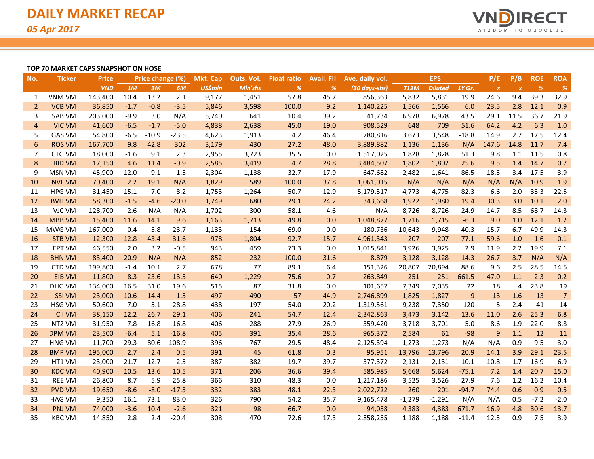

### **TOP 70 MARKET CAPS SNAPSHOT ON HOSE**

| No.             | <b>Ticker</b> | <b>Price</b> |         | Price change (%) |         | <b>Mkt. Cap</b> | Outs. Vol. | <b>Float ratio</b> | <b>Avail. Fll</b> | Ave. daily vol. |             | <b>EPS</b>     |         | P/E              | P/B              | <b>ROE</b> | <b>ROA</b>     |
|-----------------|---------------|--------------|---------|------------------|---------|-----------------|------------|--------------------|-------------------|-----------------|-------------|----------------|---------|------------------|------------------|------------|----------------|
|                 |               | <b>VND</b>   | 1M      | 3M               | 6M      | <b>US\$mln</b>  | Mln'shs    | %                  | %                 | (30 days-shs)   | <b>T12M</b> | <b>Diluted</b> | 1Y Gr.  | $\boldsymbol{X}$ | $\boldsymbol{x}$ | %          | %              |
| 1               | <b>VNM VM</b> | 143,400      | 10.4    | 13.2             | 2.1     | 9,177           | 1,451      | 57.8               | 45.7              | 856,363         | 5,832       | 5,831          | 19.9    | 24.6             | 9.4              | 39.3       | 32.9           |
| $\overline{2}$  | <b>VCB VM</b> | 36,850       | $-1.7$  | $-0.8$           | $-3.5$  | 5,846           | 3,598      | 100.0              | 9.2               | 1,140,225       | 1,566       | 1,566          | 6.0     | 23.5             | 2.8              | 12.1       | 0.9            |
| 3               | SAB VM        | 203,000      | $-9.9$  | 3.0              | N/A     | 5,740           | 641        | 10.4               | 39.2              | 41,734          | 6,978       | 6,978          | 43.5    | 29.1             | 11.5             | 36.7       | 21.9           |
| $\overline{4}$  | <b>VIC VM</b> | 41,600       | $-6.5$  | $-1.7$           | $-5.0$  | 4,838           | 2,638      | 45.0               | 19.0              | 908,529         | 648         | 709            | 51.6    | 64.2             | 4.2              | 6.3        | 1.0            |
| 5               | <b>GAS VM</b> | 54,800       | $-6.5$  | $-10.9$          | $-23.5$ | 4,623           | 1,913      | 4.2                | 46.4              | 780,816         | 3,673       | 3,548          | $-18.8$ | 14.9             | 2.7              | 17.5       | 12.4           |
| $6\phantom{1}6$ | <b>ROS VM</b> | 167,700      | 9.8     | 42.8             | 302     | 3,179           | 430        | 27.2               | 48.0              | 3,889,882       | 1,136       | 1,136          | N/A     | 147.6            | 14.8             | 11.7       | 7.4            |
| 7               | CTG VM        | 18,000       | $-1.6$  | 9.1              | 2.3     | 2,955           | 3,723      | 35.5               | 0.0               | 1,517,025       | 1,828       | 1,828          | 51.3    | 9.8              | 1.1              | 11.5       | 0.8            |
| 8               | <b>BID VM</b> | 17,150       | 4.6     | 11.4             | $-0.9$  | 2,585           | 3,419      | 4.7                | 28.8              | 3,484,507       | 1,802       | 1,802          | 25.6    | 9.5              | 1.4              | 14.7       | 0.7            |
| 9               | <b>MSN VM</b> | 45,900       | 12.0    | 9.1              | $-1.5$  | 2,304           | 1,138      | 32.7               | 17.9              | 647,682         | 2,482       | 1,641          | 86.5    | 18.5             | 3.4              | 17.5       | 3.9            |
| 10              | <b>NVL VM</b> | 70,400       | 2.2     | 19.1             | N/A     | 1,829           | 589        | 100.0              | 37.8              | 1,061,015       | N/A         | N/A            | N/A     | N/A              | N/A              | 10.9       | 1.9            |
| 11              | <b>HPG VM</b> | 31,450       | 15.1    | 7.0              | 8.2     | 1,753           | 1,264      | 50.7               | 12.9              | 5,179,517       | 4,773       | 4,775          | 82.3    | 6.6              | 2.0              | 35.3       | 22.5           |
| 12              | <b>BVH VM</b> | 58,300       | $-1.5$  | $-4.6$           | $-20.0$ | 1,749           | 680        | 29.1               | 24.2              | 343,668         | 1,922       | 1,980          | 19.4    | 30.3             | 3.0              | 10.1       | 2.0            |
| 13              | VJC VM        | 128,700      | $-2.6$  | N/A              | N/A     | 1,702           | 300        | 58.1               | 4.6               | N/A             | 8,726       | 8,726          | $-24.9$ | 14.7             | 8.5              | 68.7       | 14.3           |
| 14              | <b>MBB VM</b> | 15,400       | 11.6    | 14.1             | 9.6     | 1,163           | 1,713      | 49.8               | 0.0               | 1,048,877       | 1,716       | 1,715          | $-6.3$  | 9.0              | 1.0              | 12.1       | 1.2            |
| 15              | MWG VM        | 167,000      | 0.4     | 5.8              | 23.7    | 1,133           | 154        | 69.0               | 0.0               | 180,736         | 10,643      | 9,948          | 40.3    | 15.7             | 6.7              | 49.9       | 14.3           |
| 16              | <b>STB VM</b> | 12,300       | 12.8    | 43.4             | 31.6    | 978             | 1,804      | 92.7               | 15.7              | 4,961,343       | 207         | 207            | $-77.1$ | 59.6             | 1.0              | 1.6        | 0.1            |
| 17              | <b>FPT VM</b> | 46,550       | 2.0     | 3.2              | $-0.5$  | 943             | 459        | 73.3               | 0.0               | 1,015,841       | 3,926       | 3,925          | 2.9     | 11.9             | 2.2              | 19.9       | 7.1            |
| 18              | <b>BHN VM</b> | 83,400       | $-20.9$ | N/A              | N/A     | 852             | 232        | 100.0              | 31.6              | 8,879           | 3,128       | 3,128          | $-14.3$ | 26.7             | 3.7              | N/A        | N/A            |
| 19              | <b>CTD VM</b> | 199,800      | $-1.4$  | 10.1             | 2.7     | 678             | 77         | 89.1               | 6.4               | 151,326         | 20,807      | 20,894         | 88.6    | 9.6              | 2.5              | 28.5       | 14.5           |
| 20              | <b>EIB VM</b> | 11,800       | 8.3     | 23.6             | 13.5    | 640             | 1,229      | 75.6               | 0.7               | 263,849         | 251         | 251            | 661.5   | 47.0             | 1.1              | 2.3        | 0.2            |
| 21              | DHG VM        | 134,000      | 16.5    | 31.0             | 19.6    | 515             | 87         | 31.8               | 0.0               | 101,652         | 7,349       | 7,035          | 22      | 18               | 4                | 23.8       | 19             |
| 22              | <b>SSI VM</b> | 23,000       | 10.6    | 14.4             | 1.5     | 497             | 490        | 57                 | 44.9              | 2,746,899       | 1,825       | 1,827          | 9       | 13               | 1.6              | 13         | $\overline{7}$ |
| 23              | HSG VM        | 50,600       | 7.0     | $-5.1$           | 28.8    | 438             | 197        | 54.0               | 20.2              | 1,319,561       | 9,238       | 7,350          | 120     | 5                | 2.4              | 41         | 14             |
| 24              | <b>CII VM</b> | 38,150       | 12.2    | 26.7             | 29.1    | 406             | 241        | 54.7               | 12.4              | 2,342,863       | 3,473       | 3,142          | 13.6    | 11.0             | 2.6              | 25.3       | 6.8            |
| 25              | NT2 VM        | 31,950       | 7.8     | 16.8             | $-16.8$ | 406             | 288        | 27.9               | 26.9              | 359,420         | 3,718       | 3,701          | $-5.0$  | 8.6              | 1.9              | 22.0       | 8.8            |
| 26              | <b>DPM VM</b> | 23,500       | $-6.4$  | 5.1              | $-16.8$ | 405             | 391        | 35.4               | 28.6              | 965,372         | 2,584       | 61             | $-98$   | 9                | 1.1              | 12         | 11             |
| 27              | <b>HNG VM</b> | 11,700       | 29.3    | 80.6             | 108.9   | 396             | 767        | 29.5               | 48.4              | 2,125,394       | $-1,273$    | $-1,273$       | N/A     | N/A              | 0.9              | $-9.5$     | $-3.0$         |
| 28              | <b>BMP VM</b> | 195,000      | 2.7     | 2.4              | 0.5     | 391             | 45         | 61.8               | 0.3               | 95,951          | 13,796      | 13,796         | 20.9    | 14.1             | 3.9              | 29.1       | 23.5           |
| 29              | HT1 VM        | 23,000       | 21.7    | 12.7             | $-2.5$  | 387             | 382        | 19.7               | 39.7              | 377,372         | 2,131       | 2,131          | 10.1    | 10.8             | 1.7              | 16.9       | 6.9            |
| 30              | <b>KDC VM</b> | 40,900       | 10.5    | 13.6             | 10.5    | 371             | 206        | 36.6               | 39.4              | 585,985         | 5,668       | 5,624          | $-75.1$ | 7.2              | 1.4              | 20.7       | 15.0           |
| 31              | <b>REE VM</b> | 26,800       | 8.7     | 5.9              | 25.8    | 366             | 310        | 48.3               | 0.0               | 1,217,186       | 3,525       | 3,526          | 27.9    | 7.6              | 1.2              | 16.2       | 10.4           |
| 32              | <b>PVD VM</b> | 19,650       | $-8.6$  | $-8.0$           | $-17.5$ | 332             | 383        | 48.1               | 22.3              | 2,022,722       | 260         | 201            | $-94.7$ | 74.4             | 0.6              | 0.9        | 0.5            |
| 33              | <b>HAG VM</b> | 9,350        | 16.1    | 73.1             | 83.0    | 326             | 790        | 54.2               | 35.7              | 9,165,478       | $-1,279$    | $-1,291$       | N/A     | N/A              | 0.5              | $-7.2$     | $-2.0$         |
| 34              | <b>PNJ VM</b> | 74,000       | $-3.6$  | 10.4             | $-2.6$  | 321             | 98         | 66.7               | 0.0               | 94,058          | 4,383       | 4,383          | 671.7   | 16.9             | 4.8              | 30.6       | 13.7           |
| 35              | <b>KBC VM</b> | 14,850       | 2.8     | 2.4              | $-20.4$ | 308             | 470        | 72.6               | 17.3              | 2,858,255       | 1,188       | 1,188          | $-11.4$ | 12.5             | 0.9              | 7.5        | 3.9            |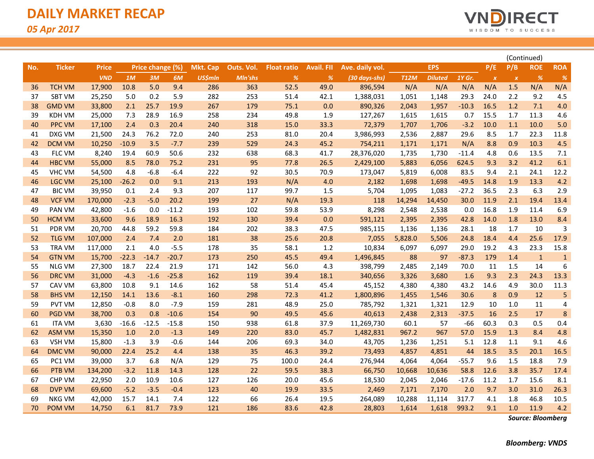

|     |               |              |         |                  |         |                 |            |                    |                   |                 |             |                |         |                  | (Continued)  |              |                |
|-----|---------------|--------------|---------|------------------|---------|-----------------|------------|--------------------|-------------------|-----------------|-------------|----------------|---------|------------------|--------------|--------------|----------------|
| No. | <b>Ticker</b> | <b>Price</b> |         | Price change (%) |         | <b>Mkt. Cap</b> | Outs. Vol. | <b>Float ratio</b> | <b>Avail. FIL</b> | Ave. daily vol. |             | <b>EPS</b>     |         | P/E              | P/B          | <b>ROE</b>   | <b>ROA</b>     |
|     |               | <b>VND</b>   | 1M      | 3M               | 6M      | <b>US\$mln</b>  | Mln'shs    | $\frac{9}{6}$      | %                 | (30 days-shs)   | <b>T12M</b> | <b>Diluted</b> | 1Y Gr.  | $\boldsymbol{x}$ | $\pmb{\chi}$ | %            | %              |
| 36  | <b>TCH VM</b> | 17,900       | 10.8    | 5.0              | 9.4     | 286             | 363        | 52.5               | 49.0              | 896,594         | N/A         | N/A            | N/A     | N/A              | 1.5          | N/A          | N/A            |
| 37  | <b>SBT VM</b> | 25,250       | 5.0     | 0.2              | 5.9     | 282             | 253        | 51.4               | 42.1              | 1,388,031       | 1,051       | 1,148          | 29.3    | 24.0             | 2.2          | 9.2          | 4.5            |
| 38  | <b>GMD VM</b> | 33,800       | 2.1     | 25.7             | 19.9    | 267             | 179        | 75.1               | 0.0               | 890,326         | 2,043       | 1,957          | $-10.3$ | 16.5             | 1.2          | 7.1          | 4.0            |
| 39  | <b>KDH VM</b> | 25,000       | 7.3     | 28.9             | 16.9    | 258             | 234        | 49.8               | 1.9               | 127,267         | 1,615       | 1,615          | 0.7     | 15.5             | 1.7          | 11.3         | 4.6            |
| 40  | <b>PPC VM</b> | 17,100       | 2.4     | 0.3              | 20.4    | 240             | 318        | 15.0               | 33.3              | 72,379          | 1,707       | 1,706          | $-3.2$  | 10.0             | 1.1          | 10.0         | 5.0            |
| 41  | DXG VM        | 21,500       | 24.3    | 76.2             | 72.0    | 240             | 253        | 81.0               | 20.4              | 3,986,993       | 2,536       | 2,887          | 29.6    | 8.5              | 1.7          | 22.3         | 11.8           |
| 42  | <b>DCM VM</b> | 10,250       | $-10.9$ | 3.5              | $-7.7$  | 239             | 529        | 24.3               | 45.2              | 754,211         | 1,171       | 1,171          | N/A     | 8.8              | 0.9          | 10.3         | 4.5            |
| 43  | FLC VM        | 8,240        | 19.4    | 60.9             | 50.6    | 232             | 638        | 68.3               | 41.7              | 28,376,020      | 1,735       | 1,730          | $-11.4$ | 4.8              | 0.6          | 13.5         | 7.1            |
| 44  | <b>HBC VM</b> | 55,000       | 8.5     | 78.0             | 75.2    | 231             | 95         | 77.8               | 26.5              | 2,429,100       | 5,883       | 6,056          | 624.5   | 9.3              | 3.2          | 41.2         | 6.1            |
| 45  | <b>VHC VM</b> | 54,500       | 4.8     | $-6.8$           | $-6.4$  | 222             | 92         | 30.5               | 70.9              | 173,047         | 5,819       | 6,008          | 83.5    | 9.4              | 2.1          | 24.1         | 12.2           |
| 46  | <b>LGC VM</b> | 25,100       | $-26.2$ | 0.0              | 9.1     | 213             | 193        | N/A                | 4.0               | 2,182           | 1,698       | 1,698          | $-49.5$ | 14.8             | 1.9          | 13.3         | 4.2            |
| 47  | <b>BIC VM</b> | 39,950       | 0.1     | 2.4              | 9.3     | 207             | 117        | 99.7               | 1.5               | 5,704           | 1,095       | 1,083          | $-27.2$ | 36.5             | 2.3          | 6.3          | 2.9            |
| 48  | <b>VCF VM</b> | 170,000      | $-2.3$  | $-5.0$           | 20.2    | 199             | 27         | N/A                | 19.3              | 118             | 14,294      | 14,450         | 30.0    | 11.9             | 2.1          | 19.4         | 13.4           |
| 49  | <b>PAN VM</b> | 42,800       | $-1.6$  | 0.0              | $-11.2$ | 193             | 102        | 59.8               | 53.9              | 8,298           | 2,548       | 2,538          | 0.0     | 16.8             | 1.9          | 11.4         | 6.9            |
| 50  | HCM VM        | 33,600       | 9.6     | 18.9             | 16.3    | 192             | 130        | 39.4               | 0.0               | 591,121         | 2,395       | 2,395          | 42.8    | 14.0             | 1.8          | 13.0         | 8.4            |
| 51  | PDR VM        | 20,700       | 44.8    | 59.2             | 59.8    | 184             | 202        | 38.3               | 47.5              | 985,115         | 1,136       | 1,136          | 28.1    | 18               | 1.7          | 10           | 3              |
| 52  | <b>TLG VM</b> | 107,000      | 2.4     | 7.4              | 2.0     | 181             | 38         | 25.6               | 20.8              | 7,055           | 5,828.0     | 5,506          | 24.8    | 18.4             | 4.4          | 25.6         | 17.9           |
| 53  | <b>TRA VM</b> | 117,000      | 2.1     | 4.0              | $-5.5$  | 178             | 35         | 58.1               | 1.2               | 10,834          | 6,097       | 6,097          | 29.0    | 19.2             | 4.3          | 23.3         | 15.8           |
| 54  | <b>GTN VM</b> | 15,700       | $-22.3$ | $-14.7$          | $-20.7$ | 173             | 250        | 45.5               | 49.4              | 1,496,845       | 88          | 97             | $-87.3$ | 179              | 1.4          | $\mathbf{1}$ | $\mathbf{1}$   |
| 55  | <b>NLG VM</b> | 27,300       | 18.7    | 22.4             | 21.9    | 171             | 142        | 56.0               | 4.3               | 398,799         | 2,485       | 2,149          | 70.0    | 11               | 1.5          | 14           | 6              |
| 56  | <b>DRC VM</b> | 31,000       | $-4.3$  | $-1.6$           | $-25.8$ | 162             | 119        | 39.4               | 18.1              | 340,656         | 3,326       | 3,680          | 1.6     | 9.3              | 2.3          | 24.3         | 13.3           |
| 57  | <b>CAV VM</b> | 63,800       | 10.8    | 9.1              | 14.6    | 162             | 58         | 51.4               | 45.4              | 45,152          | 4,380       | 4,380          | 43.2    | 14.6             | 4.9          | 30.0         | 11.3           |
| 58  | <b>BHS VM</b> | 12,150       | 14.1    | 13.6             | $-8.1$  | 160             | 298        | 72.3               | 41.2              | 1,800,896       | 1,455       | 1,546          | 30.6    | 8                | 0.9          | 12           | 5              |
| 59  | <b>PVT VM</b> | 12,850       | $-0.8$  | 8.0              | $-7.9$  | 159             | 281        | 48.9               | 25.0              | 785,792         | 1,321       | 1,321          | 12.9    | 10               | 1.0          | 11           | $\overline{4}$ |
| 60  | <b>PGD VM</b> | 38,700       | 0.3     | 0.8              | $-10.6$ | 154             | 90         | 49.5               | 45.6              | 40,613          | 2,438       | 2,313          | $-37.5$ | 16               | 2.5          | 17           | 8              |
| 61  | <b>ITA VM</b> | 3,630        | $-16.6$ | $-12.5$          | $-15.8$ | 150             | 938        | 61.8               | 37.9              | 11,269,730      | 60.1        | 57             | $-66$   | 60.3             | 0.3          | 0.5          | 0.4            |
| 62  | <b>ASM VM</b> | 15,350       | 1.0     | 2.0              | $-1.3$  | 149             | 220        | 83.0               | 45.7              | 1,482,831       | 967.2       | 967            | 57.0    | 15.9             | 1.3          | 8.4          | 4.8            |
| 63  | VSH VM        | 15,800       | $-1.3$  | 3.9              | $-0.6$  | 144             | 206        | 69.3               | 34.0              | 43,705          | 1,236       | 1,251          | 5.1     | 12.8             | 1.1          | 9.1          | 4.6            |
| 64  | <b>DMC VM</b> | 90,000       | 22.4    | 25.2             | 4.4     | 138             | 35         | 46.3               | 39.2              | 73,493          | 4,857       | 4,851          | 44      | 18.5             | 3.5          | 20.1         | 16.5           |
| 65  | PC1 VM        | 39,000       | 3.7     | 6.8              | N/A     | 129             | 75         | 100.0              | 24.4              | 276,944         | 4,064       | 4,064          | $-55.7$ | 9.6              | 1.5          | 18.8         | 7.9            |
| 66  | PTB VM        | 134,200      | $-3.2$  | 11.8             | 14.3    | 128             | 22         | 59.5               | 38.3              | 66,750          | 10,668      | 10,636         | 58.8    | 12.6             | 3.8          | 35.7         | 17.4           |
| 67  | <b>CHP VM</b> | 22,950       | 2.0     | 10.9             | 10.6    | 127             | 126        | 20.0               | 45.6              | 18,530          | 2,045       | 2,046          | $-17.6$ | 11.2             | 1.7          | 15.6         | 8.1            |
| 68  | <b>DVP VM</b> | 69,600       | $-5.2$  | $-3.5$           | $-0.4$  | 123             | 40         | 19.9               | 33.5              | 2,469           | 7,171       | 7,170          | 2.0     | 9.7              | 3.0          | 31.0         | 26.3           |
| 69  | NKG VM        | 42,000       | 15.7    | 14.1             | 7.4     | 122             | 66         | 26.4               | 19.5              | 264,089         | 10,288      | 11,114         | 317.7   | 4.1              | 1.8          | 46.8         | 10.5           |
| 70  | <b>POM VM</b> | 14,750       | 6.1     | 81.7             | 73.9    | 121             | 186        | 83.6               | 42.8              | 28,803          | 1,614       | 1,618          | 993.2   | 9.1              | 1.0          | 11.9         | 4.2            |

*Source: Bloomberg*